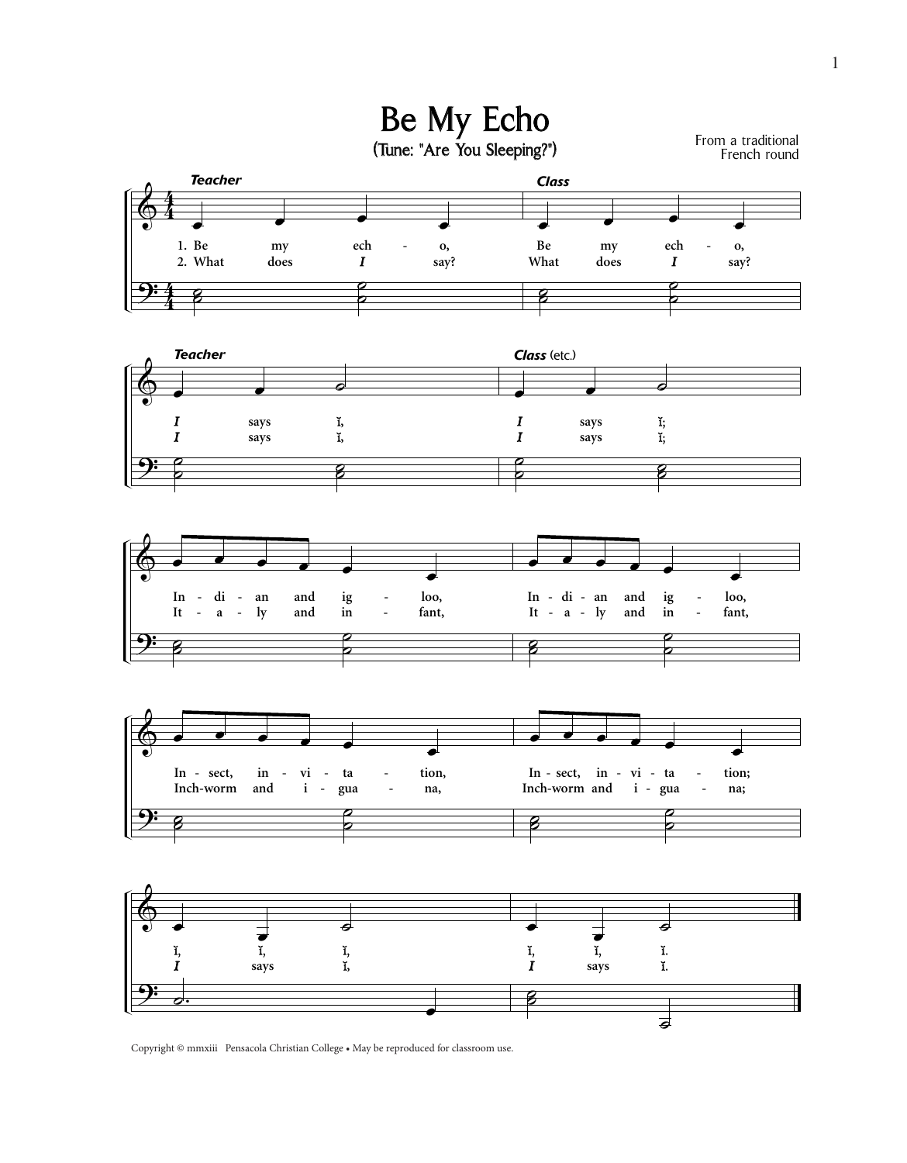









Copyright © mmxiii Pensacola Christian College • May be reproduced for classroom use.